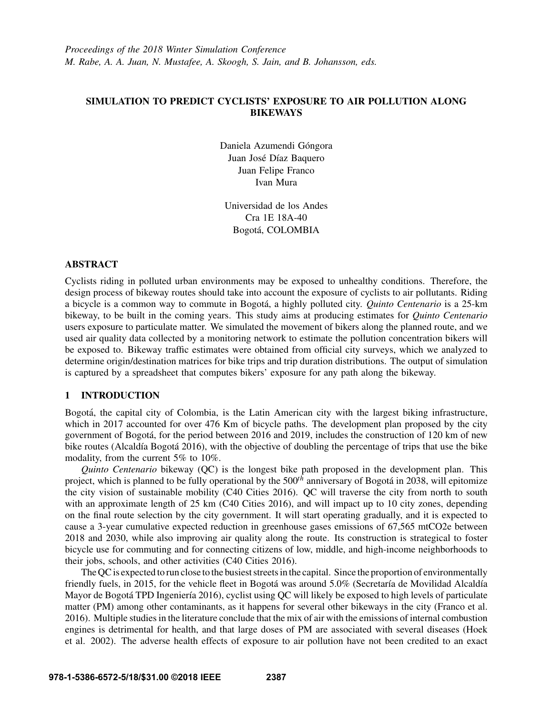# SIMULATION TO PREDICT CYCLISTS' EXPOSURE TO AIR POLLUTION ALONG **BIKEWAYS**

Daniela Azumendi Góngora Juan José Díaz Baquero Juan Felipe Franco Ivan Mura

Universidad de los Andes Cra 1E 18A-40 Bogota, COLOMBIA ´

# ABSTRACT

Cyclists riding in polluted urban environments may be exposed to unhealthy conditions. Therefore, the design process of bikeway routes should take into account the exposure of cyclists to air pollutants. Riding a bicycle is a common way to commute in Bogotá, a highly polluted city. *Quinto Centenario* is a 25-km bikeway, to be built in the coming years. This study aims at producing estimates for *Quinto Centenario* users exposure to particulate matter. We simulated the movement of bikers along the planned route, and we used air quality data collected by a monitoring network to estimate the pollution concentration bikers will be exposed to. Bikeway traffic estimates were obtained from official city surveys, which we analyzed to determine origin/destination matrices for bike trips and trip duration distributions. The output of simulation is captured by a spreadsheet that computes bikers' exposure for any path along the bikeway.

# 1 INTRODUCTION

Bogotá, the capital city of Colombia, is the Latin American city with the largest biking infrastructure, which in 2017 accounted for over 476 Km of bicycle paths. The development plan proposed by the city government of Bogota, for the period between 2016 and 2019, includes the construction of 120 km of new ´ bike routes (Alcaldía Bogotá 2016), with the objective of doubling the percentage of trips that use the bike modality, from the current 5% to 10%.

*Quinto Centenario* bikeway (QC) is the longest bike path proposed in the development plan. This project, which is planned to be fully operational by the 500*th* anniversary of Bogota in 2038, will epitomize ´ the city vision of sustainable mobility (C40 Cities 2016). QC will traverse the city from north to south with an approximate length of 25 km (C40 Cities 2016), and will impact up to 10 city zones, depending on the final route selection by the city government. It will start operating gradually, and it is expected to cause a 3-year cumulative expected reduction in greenhouse gases emissions of 67,565 mtCO2e between 2018 and 2030, while also improving air quality along the route. Its construction is strategical to foster bicycle use for commuting and for connecting citizens of low, middle, and high-income neighborhoods to their jobs, schools, and other activities (C40 Cities 2016).

The QC is expected to run close to the busiest streets in the capital. Since the proportion of environmentally friendly fuels, in 2015, for the vehicle fleet in Bogotá was around 5.0% (Secretaría de Movilidad Alcaldía) Mayor de Bogotá TPD Ingeniería 2016), cyclist using QC will likely be exposed to high levels of particulate matter (PM) among other contaminants, as it happens for several other bikeways in the city (Franco et al. 2016). Multiple studies in the literature conclude that the mix of air with the emissions of internal combustion engines is detrimental for health, and that large doses of PM are associated with several diseases (Hoek et al. 2002). The adverse health effects of exposure to air pollution have not been credited to an exact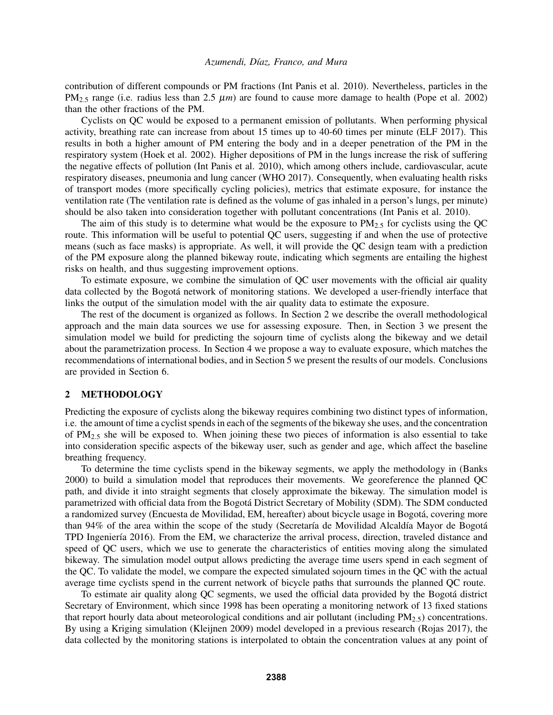contribution of different compounds or PM fractions (Int Panis et al. 2010). Nevertheless, particles in the  $PM<sub>2.5</sub>$  range (i.e. radius less than 2.5  $\mu$ *m*) are found to cause more damage to health (Pope et al. 2002) than the other fractions of the PM.

Cyclists on QC would be exposed to a permanent emission of pollutants. When performing physical activity, breathing rate can increase from about 15 times up to 40-60 times per minute (ELF 2017). This results in both a higher amount of PM entering the body and in a deeper penetration of the PM in the respiratory system (Hoek et al. 2002). Higher depositions of PM in the lungs increase the risk of suffering the negative effects of pollution (Int Panis et al. 2010), which among others include, cardiovascular, acute respiratory diseases, pneumonia and lung cancer (WHO 2017). Consequently, when evaluating health risks of transport modes (more specifically cycling policies), metrics that estimate exposure, for instance the ventilation rate (The ventilation rate is defined as the volume of gas inhaled in a person's lungs, per minute) should be also taken into consideration together with pollutant concentrations (Int Panis et al. 2010).

The aim of this study is to determine what would be the exposure to  $PM_{2.5}$  for cyclists using the QC route. This information will be useful to potential QC users, suggesting if and when the use of protective means (such as face masks) is appropriate. As well, it will provide the QC design team with a prediction of the PM exposure along the planned bikeway route, indicating which segments are entailing the highest risks on health, and thus suggesting improvement options.

To estimate exposure, we combine the simulation of QC user movements with the official air quality data collected by the Bogotá network of monitoring stations. We developed a user-friendly interface that links the output of the simulation model with the air quality data to estimate the exposure.

The rest of the document is organized as follows. In Section 2 we describe the overall methodological approach and the main data sources we use for assessing exposure. Then, in Section 3 we present the simulation model we build for predicting the sojourn time of cyclists along the bikeway and we detail about the parametrization process. In Section 4 we propose a way to evaluate exposure, which matches the recommendations of international bodies, and in Section 5 we present the results of our models. Conclusions are provided in Section 6.

### 2 METHODOLOGY

Predicting the exposure of cyclists along the bikeway requires combining two distinct types of information, i.e. the amount of time a cyclist spends in each of the segments of the bikeway she uses, and the concentration of PM2.<sup>5</sup> she will be exposed to. When joining these two pieces of information is also essential to take into consideration specific aspects of the bikeway user, such as gender and age, which affect the baseline breathing frequency.

To determine the time cyclists spend in the bikeway segments, we apply the methodology in (Banks 2000) to build a simulation model that reproduces their movements. We georeference the planned QC path, and divide it into straight segments that closely approximate the bikeway. The simulation model is parametrized with official data from the Bogota District Secretary of Mobility (SDM). The SDM conducted ´ a randomized survey (Encuesta de Movilidad, EM, hereafter) about bicycle usage in Bogota, covering more ´ than 94% of the area within the scope of the study (Secretaría de Movilidad Alcaldía Mayor de Bogotá TPD Ingeniería 2016). From the EM, we characterize the arrival process, direction, traveled distance and speed of QC users, which we use to generate the characteristics of entities moving along the simulated bikeway. The simulation model output allows predicting the average time users spend in each segment of the QC. To validate the model, we compare the expected simulated sojourn times in the QC with the actual average time cyclists spend in the current network of bicycle paths that surrounds the planned QC route.

To estimate air quality along QC segments, we used the official data provided by the Bogotá district Secretary of Environment, which since 1998 has been operating a monitoring network of 13 fixed stations that report hourly data about meteorological conditions and air pollutant (including  $PM_{2.5}$ ) concentrations. By using a Kriging simulation (Kleijnen 2009) model developed in a previous research (Rojas 2017), the data collected by the monitoring stations is interpolated to obtain the concentration values at any point of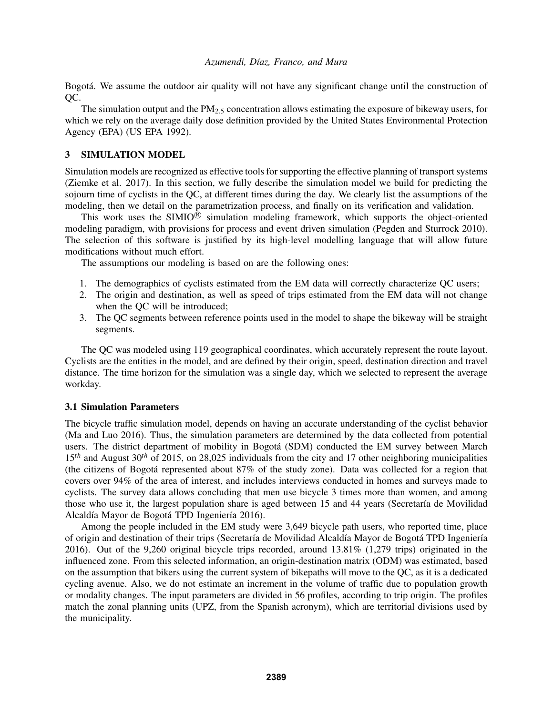Bogotá. We assume the outdoor air quality will not have any significant change until the construction of QC.

The simulation output and the  $PM<sub>2.5</sub>$  concentration allows estimating the exposure of bikeway users, for which we rely on the average daily dose definition provided by the United States Environmental Protection Agency (EPA) (US EPA 1992).

# 3 SIMULATION MODEL

Simulation models are recognized as effective tools for supporting the effective planning of transport systems (Ziemke et al. 2017). In this section, we fully describe the simulation model we build for predicting the sojourn time of cyclists in the QC, at different times during the day. We clearly list the assumptions of the modeling, then we detail on the parametrization process, and finally on its verification and validation.

This work uses the SIMIO $^{\circledR}$  simulation modeling framework, which supports the object-oriented modeling paradigm, with provisions for process and event driven simulation (Pegden and Sturrock 2010). The selection of this software is justified by its high-level modelling language that will allow future modifications without much effort.

The assumptions our modeling is based on are the following ones:

- 1. The demographics of cyclists estimated from the EM data will correctly characterize QC users;
- 2. The origin and destination, as well as speed of trips estimated from the EM data will not change when the QC will be introduced;
- 3. The QC segments between reference points used in the model to shape the bikeway will be straight segments.

The QC was modeled using 119 geographical coordinates, which accurately represent the route layout. Cyclists are the entities in the model, and are defined by their origin, speed, destination direction and travel distance. The time horizon for the simulation was a single day, which we selected to represent the average workday.

# 3.1 Simulation Parameters

The bicycle traffic simulation model, depends on having an accurate understanding of the cyclist behavior (Ma and Luo 2016). Thus, the simulation parameters are determined by the data collected from potential users. The district department of mobility in Bogotá (SDM) conducted the EM survey between March 15*th* and August 30*th* of 2015, on 28,025 individuals from the city and 17 other neighboring municipalities (the citizens of Bogotá represented about  $87\%$  of the study zone). Data was collected for a region that covers over 94% of the area of interest, and includes interviews conducted in homes and surveys made to cyclists. The survey data allows concluding that men use bicycle 3 times more than women, and among those who use it, the largest population share is aged between 15 and 44 years (Secretaría de Movilidad Alcaldía Mayor de Bogotá TPD Ingeniería 2016).

Among the people included in the EM study were 3,649 bicycle path users, who reported time, place of origin and destination of their trips (Secretaría de Movilidad Alcaldía Mayor de Bogotá TPD Ingeniería 2016). Out of the 9,260 original bicycle trips recorded, around 13.81% (1,279 trips) originated in the influenced zone. From this selected information, an origin-destination matrix (ODM) was estimated, based on the assumption that bikers using the current system of bikepaths will move to the QC, as it is a dedicated cycling avenue. Also, we do not estimate an increment in the volume of traffic due to population growth or modality changes. The input parameters are divided in 56 profiles, according to trip origin. The profiles match the zonal planning units (UPZ, from the Spanish acronym), which are territorial divisions used by the municipality.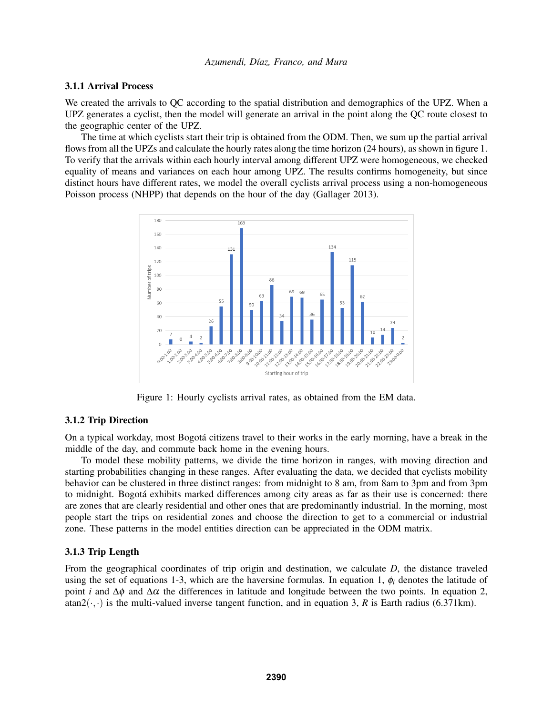# 3.1.1 Arrival Process

We created the arrivals to QC according to the spatial distribution and demographics of the UPZ. When a UPZ generates a cyclist, then the model will generate an arrival in the point along the QC route closest to the geographic center of the UPZ.

The time at which cyclists start their trip is obtained from the ODM. Then, we sum up the partial arrival flows from all the UPZs and calculate the hourly rates along the time horizon (24 hours), as shown in figure 1. To verify that the arrivals within each hourly interval among different UPZ were homogeneous, we checked equality of means and variances on each hour among UPZ. The results confirms homogeneity, but since distinct hours have different rates, we model the overall cyclists arrival process using a non-homogeneous Poisson process (NHPP) that depends on the hour of the day (Gallager 2013).



Figure 1: Hourly cyclists arrival rates, as obtained from the EM data.

# 3.1.2 Trip Direction

On a typical workday, most Bogotá citizens travel to their works in the early morning, have a break in the middle of the day, and commute back home in the evening hours.

To model these mobility patterns, we divide the time horizon in ranges, with moving direction and starting probabilities changing in these ranges. After evaluating the data, we decided that cyclists mobility behavior can be clustered in three distinct ranges: from midnight to 8 am, from 8am to 3pm and from 3pm to midnight. Bogotá exhibits marked differences among city areas as far as their use is concerned: there are zones that are clearly residential and other ones that are predominantly industrial. In the morning, most people start the trips on residential zones and choose the direction to get to a commercial or industrial zone. These patterns in the model entities direction can be appreciated in the ODM matrix.

### 3.1.3 Trip Length

From the geographical coordinates of trip origin and destination, we calculate *D*, the distance traveled using the set of equations 1-3, which are the haversine formulas. In equation 1,  $\phi_i$  denotes the latitude of point *i* and  $\Delta \phi$  and  $\Delta \alpha$  the differences in latitude and longitude between the two points. In equation 2, atan2( $\cdot$ ,  $\cdot$ ) is the multi-valued inverse tangent function, and in equation 3, *R* is Earth radius (6.371km).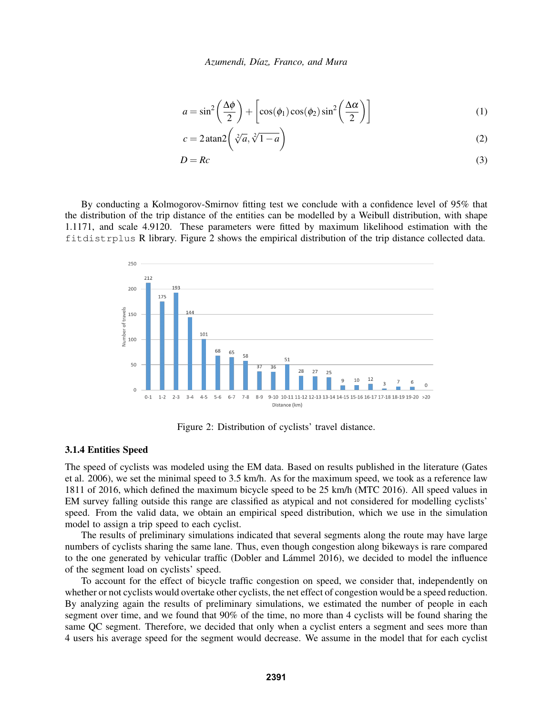$$
a = \sin^2\left(\frac{\Delta\phi}{2}\right) + \left[\cos(\phi_1)\cos(\phi_2)\sin^2\left(\frac{\Delta\alpha}{2}\right)\right]
$$
 (1)

$$
c = 2 \operatorname{atan2} \left( \sqrt[2]{a}, \sqrt[2]{1-a} \right) \tag{2}
$$

$$
D = Rc \tag{3}
$$

By conducting a Kolmogorov-Smirnov fitting test we conclude with a confidence level of 95% that the distribution of the trip distance of the entities can be modelled by a Weibull distribution, with shape 1.1171, and scale 4.9120. These parameters were fitted by maximum likelihood estimation with the fitdistrplus R library. Figure 2 shows the empirical distribution of the trip distance collected data.



Figure 2: Distribution of cyclists' travel distance.

### 3.1.4 Entities Speed

The speed of cyclists was modeled using the EM data. Based on results published in the literature (Gates et al. 2006), we set the minimal speed to 3.5 km/h. As for the maximum speed, we took as a reference law 1811 of 2016, which defined the maximum bicycle speed to be 25 km/h (MTC 2016). All speed values in EM survey falling outside this range are classified as atypical and not considered for modelling cyclists' speed. From the valid data, we obtain an empirical speed distribution, which we use in the simulation model to assign a trip speed to each cyclist.

The results of preliminary simulations indicated that several segments along the route may have large numbers of cyclists sharing the same lane. Thus, even though congestion along bikeways is rare compared to the one generated by vehicular traffic (Dobler and Lámmel 2016), we decided to model the influence of the segment load on cyclists' speed.

To account for the effect of bicycle traffic congestion on speed, we consider that, independently on whether or not cyclists would overtake other cyclists, the net effect of congestion would be a speed reduction. By analyzing again the results of preliminary simulations, we estimated the number of people in each segment over time, and we found that 90% of the time, no more than 4 cyclists will be found sharing the same QC segment. Therefore, we decided that only when a cyclist enters a segment and sees more than 4 users his average speed for the segment would decrease. We assume in the model that for each cyclist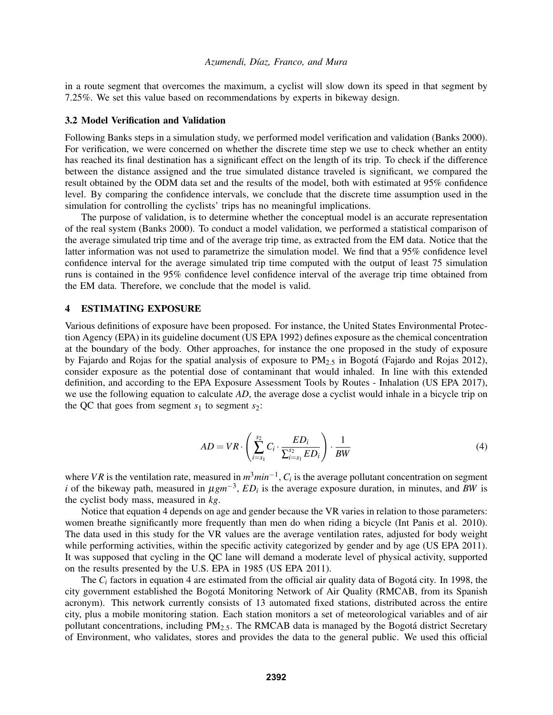in a route segment that overcomes the maximum, a cyclist will slow down its speed in that segment by 7.25%. We set this value based on recommendations by experts in bikeway design.

#### 3.2 Model Verification and Validation

Following Banks steps in a simulation study, we performed model verification and validation (Banks 2000). For verification, we were concerned on whether the discrete time step we use to check whether an entity has reached its final destination has a significant effect on the length of its trip. To check if the difference between the distance assigned and the true simulated distance traveled is significant, we compared the result obtained by the ODM data set and the results of the model, both with estimated at 95% confidence level. By comparing the confidence intervals, we conclude that the discrete time assumption used in the simulation for controlling the cyclists' trips has no meaningful implications.

The purpose of validation, is to determine whether the conceptual model is an accurate representation of the real system (Banks 2000). To conduct a model validation, we performed a statistical comparison of the average simulated trip time and of the average trip time, as extracted from the EM data. Notice that the latter information was not used to parametrize the simulation model. We find that a 95% confidence level confidence interval for the average simulated trip time computed with the output of least 75 simulation runs is contained in the 95% confidence level confidence interval of the average trip time obtained from the EM data. Therefore, we conclude that the model is valid.

### 4 ESTIMATING EXPOSURE

Various definitions of exposure have been proposed. For instance, the United States Environmental Protection Agency (EPA) in its guideline document (US EPA 1992) defines exposure as the chemical concentration at the boundary of the body. Other approaches, for instance the one proposed in the study of exposure by Fajardo and Rojas for the spatial analysis of exposure to  $PM_{2.5}$  in Bogotá (Fajardo and Rojas 2012), consider exposure as the potential dose of contaminant that would inhaled. In line with this extended definition, and according to the EPA Exposure Assessment Tools by Routes - Inhalation (US EPA 2017), we use the following equation to calculate *AD*, the average dose a cyclist would inhale in a bicycle trip on the QC that goes from segment  $s_1$  to segment  $s_2$ :

$$
AD = VR \cdot \left(\sum_{i=s_1}^{s_2} C_i \cdot \frac{ED_i}{\sum_{i=s_1}^{s_2} ED_i}\right) \cdot \frac{1}{BW} \tag{4}
$$

where *VR* is the ventilation rate, measured in  $m^3min^{-1}$ ,  $C_i$  is the average pollutant concentration on segment *i* of the bikeway path, measured in  $\mu g m^{-3}$ ,  $ED_i$  is the average exposure duration, in minutes, and *BW* is the cyclist body mass, measured in *kg*.

Notice that equation 4 depends on age and gender because the VR varies in relation to those parameters: women breathe significantly more frequently than men do when riding a bicycle (Int Panis et al. 2010). The data used in this study for the VR values are the average ventilation rates, adjusted for body weight while performing activities, within the specific activity categorized by gender and by age (US EPA 2011). It was supposed that cycling in the QC lane will demand a moderate level of physical activity, supported on the results presented by the U.S. EPA in 1985 (US EPA 2011).

The  $C_i$  factors in equation 4 are estimated from the official air quality data of Bogotá city. In 1998, the city government established the Bogota Monitoring Network of Air Quality (RMCAB, from its Spanish ´ acronym). This network currently consists of 13 automated fixed stations, distributed across the entire city, plus a mobile monitoring station. Each station monitors a set of meteorological variables and of air pollutant concentrations, including  $PM<sub>2.5</sub>$ . The RMCAB data is managed by the Bogotá district Secretary of Environment, who validates, stores and provides the data to the general public. We used this official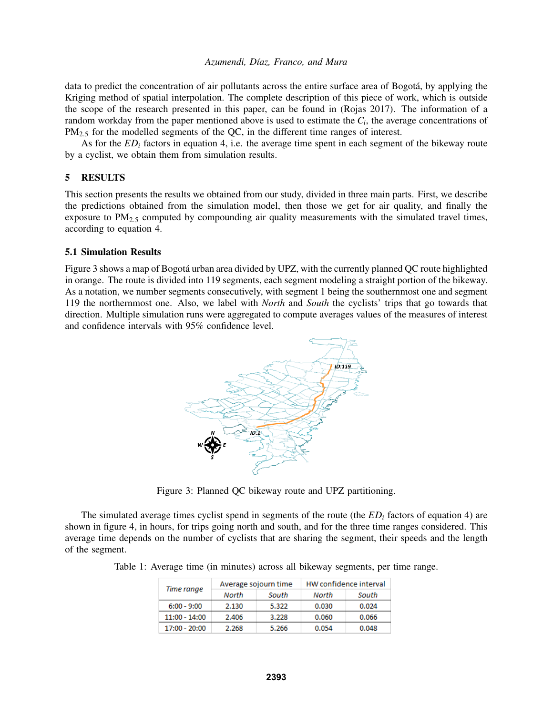data to predict the concentration of air pollutants across the entire surface area of Bogotá, by applying the Kriging method of spatial interpolation. The complete description of this piece of work, which is outside the scope of the research presented in this paper, can be found in (Rojas 2017). The information of a random workday from the paper mentioned above is used to estimate the *C<sup>i</sup>* , the average concentrations of PM<sub>2.5</sub> for the modelled segments of the QC, in the different time ranges of interest.

As for the  $ED_i$  factors in equation 4, i.e. the average time spent in each segment of the bikeway route by a cyclist, we obtain them from simulation results.

# 5 RESULTS

This section presents the results we obtained from our study, divided in three main parts. First, we describe the predictions obtained from the simulation model, then those we get for air quality, and finally the exposure to  $PM_{2.5}$  computed by compounding air quality measurements with the simulated travel times, according to equation 4.

## 5.1 Simulation Results

Figure 3 shows a map of Bogotá urban area divided by UPZ, with the currently planned QC route highlighted in orange. The route is divided into 119 segments, each segment modeling a straight portion of the bikeway. As a notation, we number segments consecutively, with segment 1 being the southernmost one and segment 119 the northernmost one. Also, we label with *North* and *South* the cyclists' trips that go towards that direction. Multiple simulation runs were aggregated to compute averages values of the measures of interest and confidence intervals with 95% confidence level.



Figure 3: Planned QC bikeway route and UPZ partitioning.

The simulated average times cyclist spend in segments of the route (the *ED<sup>i</sup>* factors of equation 4) are shown in figure 4, in hours, for trips going north and south, and for the three time ranges considered. This average time depends on the number of cyclists that are sharing the segment, their speeds and the length of the segment.

Table 1: Average time (in minutes) across all bikeway segments, per time range.

| Time range      |       | Average sojourn time | HW confidence interval |       |  |  |
|-----------------|-------|----------------------|------------------------|-------|--|--|
|                 | North | South                | North                  | South |  |  |
| $6:00 - 9:00$   | 2.130 | 5.322                | 0.030                  | 0.024 |  |  |
| $11:00 - 14:00$ | 2.406 | 3.228                | 0.060                  | 0.066 |  |  |
| $17:00 - 20:00$ | 2.268 | 5.266                | 0.054                  | 0.048 |  |  |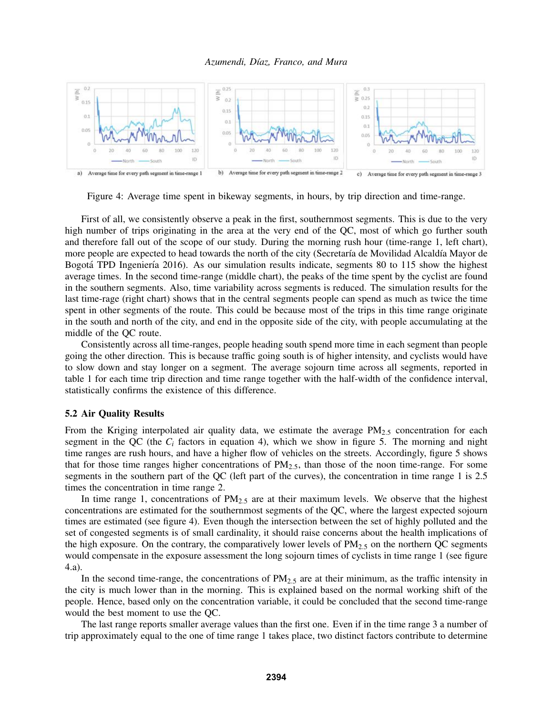

Figure 4: Average time spent in bikeway segments, in hours, by trip direction and time-range.

First of all, we consistently observe a peak in the first, southernmost segments. This is due to the very high number of trips originating in the area at the very end of the QC, most of which go further south and therefore fall out of the scope of our study. During the morning rush hour (time-range 1, left chart), more people are expected to head towards the north of the city (Secretaría de Movilidad Alcaldía Mayor de Bogotá TPD Ingeniería 2016). As our simulation results indicate, segments 80 to 115 show the highest average times. In the second time-range (middle chart), the peaks of the time spent by the cyclist are found in the southern segments. Also, time variability across segments is reduced. The simulation results for the last time-rage (right chart) shows that in the central segments people can spend as much as twice the time spent in other segments of the route. This could be because most of the trips in this time range originate in the south and north of the city, and end in the opposite side of the city, with people accumulating at the middle of the QC route.

Consistently across all time-ranges, people heading south spend more time in each segment than people going the other direction. This is because traffic going south is of higher intensity, and cyclists would have to slow down and stay longer on a segment. The average sojourn time across all segments, reported in table 1 for each time trip direction and time range together with the half-width of the confidence interval, statistically confirms the existence of this difference.

#### 5.2 Air Quality Results

From the Kriging interpolated air quality data, we estimate the average  $PM_{2.5}$  concentration for each segment in the QC (the *C<sup>i</sup>* factors in equation 4), which we show in figure 5. The morning and night time ranges are rush hours, and have a higher flow of vehicles on the streets. Accordingly, figure 5 shows that for those time ranges higher concentrations of  $PM_{2.5}$ , than those of the noon time-range. For some segments in the southern part of the QC (left part of the curves), the concentration in time range 1 is 2.5 times the concentration in time range 2.

In time range 1, concentrations of  $PM<sub>2.5</sub>$  are at their maximum levels. We observe that the highest concentrations are estimated for the southernmost segments of the QC, where the largest expected sojourn times are estimated (see figure 4). Even though the intersection between the set of highly polluted and the set of congested segments is of small cardinality, it should raise concerns about the health implications of the high exposure. On the contrary, the comparatively lower levels of  $PM_{2.5}$  on the northern QC segments would compensate in the exposure assessment the long sojourn times of cyclists in time range 1 (see figure 4.a).

In the second time-range, the concentrations of  $PM_{2.5}$  are at their minimum, as the traffic intensity in the city is much lower than in the morning. This is explained based on the normal working shift of the people. Hence, based only on the concentration variable, it could be concluded that the second time-range would the best moment to use the QC.

The last range reports smaller average values than the first one. Even if in the time range 3 a number of trip approximately equal to the one of time range 1 takes place, two distinct factors contribute to determine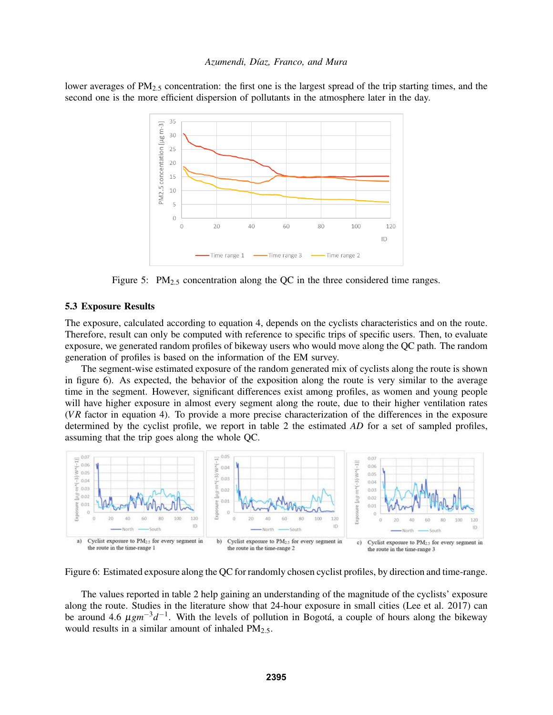lower averages of  $PM_{2.5}$  concentration: the first one is the largest spread of the trip starting times, and the second one is the more efficient dispersion of pollutants in the atmosphere later in the day.



Figure 5:  $PM_{2.5}$  concentration along the QC in the three considered time ranges.

#### 5.3 Exposure Results

The exposure, calculated according to equation 4, depends on the cyclists characteristics and on the route. Therefore, result can only be computed with reference to specific trips of specific users. Then, to evaluate exposure, we generated random profiles of bikeway users who would move along the QC path. The random generation of profiles is based on the information of the EM survey.

The segment-wise estimated exposure of the random generated mix of cyclists along the route is shown in figure 6). As expected, the behavior of the exposition along the route is very similar to the average time in the segment. However, significant differences exist among profiles, as women and young people will have higher exposure in almost every segment along the route, due to their higher ventilation rates (*V R* factor in equation 4). To provide a more precise characterization of the differences in the exposure determined by the cyclist profile, we report in table 2 the estimated *AD* for a set of sampled profiles, assuming that the trip goes along the whole QC.



Figure 6: Estimated exposure along the QC for randomly chosen cyclist profiles, by direction and time-range.

The values reported in table 2 help gaining an understanding of the magnitude of the cyclists' exposure along the route. Studies in the literature show that 24-hour exposure in small cities (Lee et al. 2017) can be around 4.6  $\mu$ *gm*<sup>−3</sup>*d*<sup>−1</sup>. With the levels of pollution in Bogotá, a couple of hours along the bikeway would results in a similar amount of inhaled PM<sub>2.5</sub>.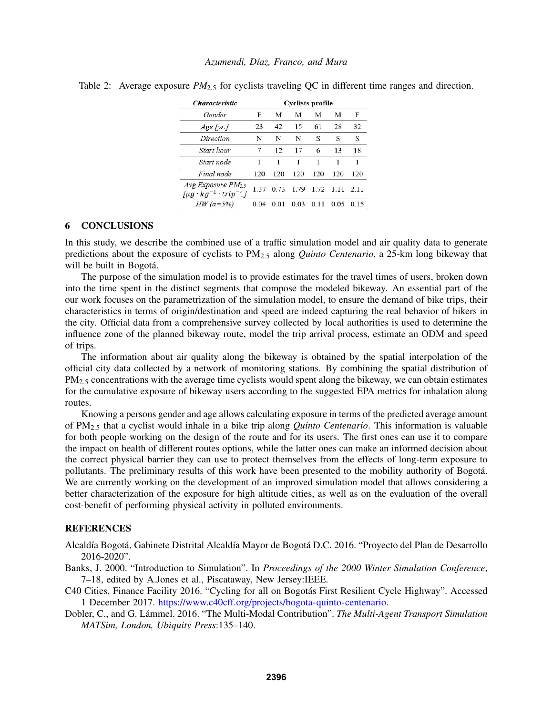| <i><b>Characteristic</b></i>                                                            | <b>Cyclists profile</b> |      |      |      |      |      |  |  |
|-----------------------------------------------------------------------------------------|-------------------------|------|------|------|------|------|--|--|
| Gender                                                                                  | F                       | М    | М    | М    | М    | F    |  |  |
| $Age$ [yr.]                                                                             | 23                      | 42   | 15   | 61   | 28   | 32   |  |  |
| Direction                                                                               | N                       | N    | N    | S    | S    | S    |  |  |
| Start hour                                                                              | 7                       | 12   | 17   | 6    | 13   | 18   |  |  |
| Start node                                                                              | 1                       |      | 1    |      | 1    | 1    |  |  |
| Final node                                                                              | 120                     | 120  | 120  | 120  | 120  | 120  |  |  |
| <i>Avg Exposure <math>PM_{2,5}</math></i><br>$\int \mu q \cdot kg^{-1} \cdot trip^{-1}$ | 1.37                    | 0.73 | 1.79 | 1.72 | 1.11 | 2.11 |  |  |
| HW $(a=5\%)$                                                                            | 0.04                    | 0.01 | 0.03 | 0.11 | 0.05 | 0.15 |  |  |

Table 2: Average exposure  $PM_{2.5}$  for cyclists traveling QC in different time ranges and direction.

#### 6 CONCLUSIONS

In this study, we describe the combined use of a traffic simulation model and air quality data to generate predictions about the exposure of cyclists to PM2.<sup>5</sup> along *Quinto Centenario*, a 25-km long bikeway that will be built in Bogotá.

The purpose of the simulation model is to provide estimates for the travel times of users, broken down into the time spent in the distinct segments that compose the modeled bikeway. An essential part of the our work focuses on the parametrization of the simulation model, to ensure the demand of bike trips, their characteristics in terms of origin/destination and speed are indeed capturing the real behavior of bikers in the city. Official data from a comprehensive survey collected by local authorities is used to determine the influence zone of the planned bikeway route, model the trip arrival process, estimate an ODM and speed of trips.

The information about air quality along the bikeway is obtained by the spatial interpolation of the official city data collected by a network of monitoring stations. By combining the spatial distribution of PM<sub>2.5</sub> concentrations with the average time cyclists would spent along the bikeway, we can obtain estimates for the cumulative exposure of bikeway users according to the suggested EPA metrics for inhalation along routes.

Knowing a persons gender and age allows calculating exposure in terms of the predicted average amount of PM2.<sup>5</sup> that a cyclist would inhale in a bike trip along *Quinto Centenario*. This information is valuable for both people working on the design of the route and for its users. The first ones can use it to compare the impact on health of different routes options, while the latter ones can make an informed decision about the correct physical barrier they can use to protect themselves from the effects of long-term exposure to pollutants. The preliminary results of this work have been presented to the mobility authority of Bogota.´ We are currently working on the development of an improved simulation model that allows considering a better characterization of the exposure for high altitude cities, as well as on the evaluation of the overall cost-benefit of performing physical activity in polluted environments.

### **REFERENCES**

Alcaldía Bogotá, Gabinete Distrital Alcaldía Mayor de Bogotá D.C. 2016. "Proyecto del Plan de Desarrollo 2016-2020".

- Banks, J. 2000. "Introduction to Simulation". In *Proceedings of the 2000 Winter Simulation Conference*, 7–18, edited by A.Jones et al., Piscataway, New Jersey:IEEE.
- C40 Cities, Finance Facility 2016. "Cycling for all on Bogotás First Resilient Cycle Highway". Accessed 1 December 2017. https://www.c40cff.org/projects/bogota-quinto-centenario.
- Dobler, C., and G. Lámmel. 2016. "The Multi-Modal Contribution". The Multi-Agent Transport Simulation *MATSim, London, Ubiquity Press*:135–140.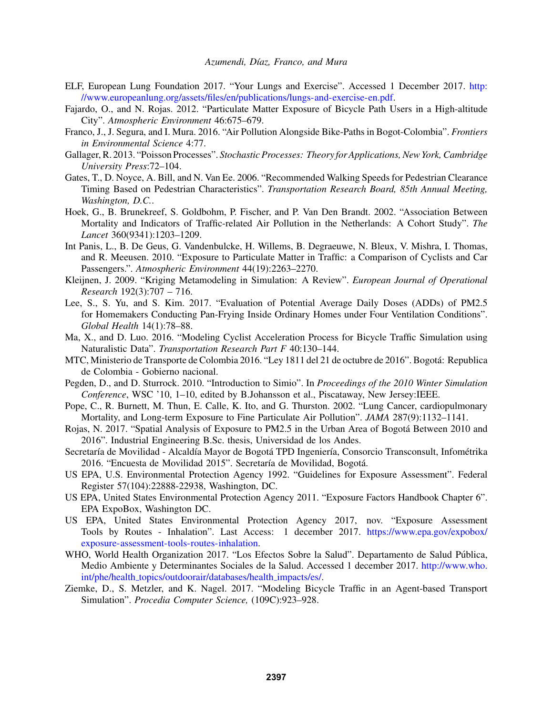- ELF, European Lung Foundation 2017. "Your Lungs and Exercise". Accessed 1 December 2017. http: //www.europeanlung.org/assets/files/en/publications/lungs-and-exercise-en.pdf.
- Fajardo, O., and N. Rojas. 2012. "Particulate Matter Exposure of Bicycle Path Users in a High-altitude City". *Atmospheric Environment* 46:675–679.
- Franco, J., J. Segura, and I. Mura. 2016. "Air Pollution Alongside Bike-Paths in Bogot-Colombia". *Frontiers in Environmental Science* 4:77.
- Gallager, R. 2013. "Poisson Processes". *Stochastic Processes: Theory for Applications, New York, Cambridge University Press*:72–104.
- Gates, T., D. Noyce, A. Bill, and N. Van Ee. 2006. "Recommended Walking Speeds for Pedestrian Clearance Timing Based on Pedestrian Characteristics". *Transportation Research Board, 85th Annual Meeting, Washington, D.C.*.
- Hoek, G., B. Brunekreef, S. Goldbohm, P. Fischer, and P. Van Den Brandt. 2002. "Association Between Mortality and Indicators of Traffic-related Air Pollution in the Netherlands: A Cohort Study". *The Lancet* 360(9341):1203–1209.
- Int Panis, L., B. De Geus, G. Vandenbulcke, H. Willems, B. Degraeuwe, N. Bleux, V. Mishra, I. Thomas, and R. Meeusen. 2010. "Exposure to Particulate Matter in Traffic: a Comparison of Cyclists and Car Passengers.". *Atmospheric Environment* 44(19):2263–2270.
- Kleijnen, J. 2009. "Kriging Metamodeling in Simulation: A Review". *European Journal of Operational Research* 192(3):707 – 716.
- Lee, S., S. Yu, and S. Kim. 2017. "Evaluation of Potential Average Daily Doses (ADDs) of PM2.5 for Homemakers Conducting Pan-Frying Inside Ordinary Homes under Four Ventilation Conditions". *Global Health* 14(1):78–88.
- Ma, X., and D. Luo. 2016. "Modeling Cyclist Acceleration Process for Bicycle Traffic Simulation using Naturalistic Data". *Transportation Research Part F* 40:130–144.
- MTC, Ministerio de Transporte de Colombia 2016. "Ley 1811 del 21 de octubre de 2016". Bogota: Republica ´ de Colombia - Gobierno nacional.
- Pegden, D., and D. Sturrock. 2010. "Introduction to Simio". In *Proceedings of the 2010 Winter Simulation Conference*, WSC '10, 1–10, edited by B.Johansson et al., Piscataway, New Jersey:IEEE.
- Pope, C., R. Burnett, M. Thun, E. Calle, K. Ito, and G. Thurston. 2002. "Lung Cancer, cardiopulmonary Mortality, and Long-term Exposure to Fine Particulate Air Pollution". *JAMA* 287(9):1132–1141.
- Rojas, N. 2017. "Spatial Analysis of Exposure to PM2.5 in the Urban Area of Bogota Between 2010 and ´ 2016". Industrial Engineering B.Sc. thesis, Universidad de los Andes.
- Secretaría de Movilidad Alcaldía Mayor de Bogotá TPD Ingeniería, Consorcio Transconsult, Infométrika 2016. "Encuesta de Movilidad 2015". Secretaría de Movilidad, Bogotá.
- US EPA, U.S. Environmental Protection Agency 1992. "Guidelines for Exposure Assessment". Federal Register 57(104):22888-22938, Washington, DC.
- US EPA, United States Environmental Protection Agency 2011. "Exposure Factors Handbook Chapter 6". EPA ExpoBox, Washington DC.
- US EPA, United States Environmental Protection Agency 2017, nov. "Exposure Assessment Tools by Routes - Inhalation". Last Access: 1 december 2017. https://www.epa.gov/expobox/ exposure-assessment-tools-routes-inhalation.
- WHO, World Health Organization 2017. "Los Efectos Sobre la Salud". Departamento de Salud Pública, Medio Ambiente y Determinantes Sociales de la Salud. Accessed 1 december 2017. http://www.who. int/phe/health topics/outdoorair/databases/health impacts/es/.
- Ziemke, D., S. Metzler, and K. Nagel. 2017. "Modeling Bicycle Traffic in an Agent-based Transport Simulation". *Procedia Computer Science,* (109C):923–928.